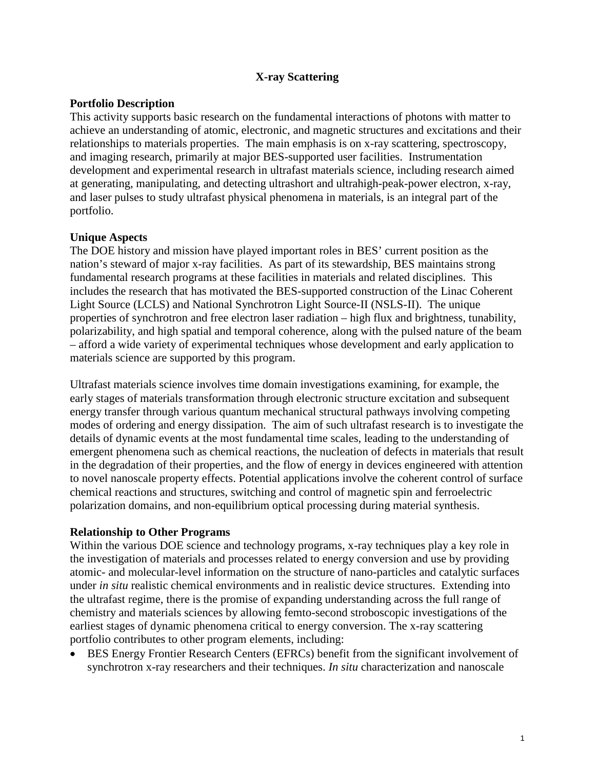## **X-ray Scattering**

### **Portfolio Description**

This activity supports basic research on the fundamental interactions of photons with matter to achieve an understanding of atomic, electronic, and magnetic structures and excitations and their relationships to materials properties. The main emphasis is on x-ray scattering, spectroscopy, and imaging research, primarily at major BES-supported user facilities. Instrumentation development and experimental research in ultrafast materials science, including research aimed at generating, manipulating, and detecting ultrashort and ultrahigh-peak-power electron, x-ray, and laser pulses to study ultrafast physical phenomena in materials, is an integral part of the portfolio.

## **Unique Aspects**

The DOE history and mission have played important roles in BES' current position as the nation's steward of major x-ray facilities. As part of its stewardship, BES maintains strong fundamental research programs at these facilities in materials and related disciplines. This includes the research that has motivated the BES-supported construction of the Linac Coherent Light Source (LCLS) and National Synchrotron Light Source-II (NSLS-II). The unique properties of synchrotron and free electron laser radiation – high flux and brightness, tunability, polarizability, and high spatial and temporal coherence, along with the pulsed nature of the beam – afford a wide variety of experimental techniques whose development and early application to materials science are supported by this program.

Ultrafast materials science involves time domain investigations examining, for example, the early stages of materials transformation through electronic structure excitation and subsequent energy transfer through various quantum mechanical structural pathways involving competing modes of ordering and energy dissipation. The aim of such ultrafast research is to investigate the details of dynamic events at the most fundamental time scales, leading to the understanding of emergent phenomena such as chemical reactions, the nucleation of defects in materials that result in the degradation of their properties, and the flow of energy in devices engineered with attention to novel nanoscale property effects. Potential applications involve the coherent control of surface chemical reactions and structures, switching and control of magnetic spin and ferroelectric polarization domains, and non-equilibrium optical processing during material synthesis.

#### **Relationship to Other Programs**

Within the various DOE science and technology programs, x-ray techniques play a key role in the investigation of materials and processes related to energy conversion and use by providing atomic- and molecular-level information on the structure of nano-particles and catalytic surfaces under *in situ* realistic chemical environments and in realistic device structures. Extending into the ultrafast regime, there is the promise of expanding understanding across the full range of chemistry and materials sciences by allowing femto-second stroboscopic investigations of the earliest stages of dynamic phenomena critical to energy conversion. The x-ray scattering portfolio contributes to other program elements, including:

• BES Energy Frontier Research Centers (EFRCs) benefit from the significant involvement of synchrotron x-ray researchers and their techniques. *In situ* characterization and nanoscale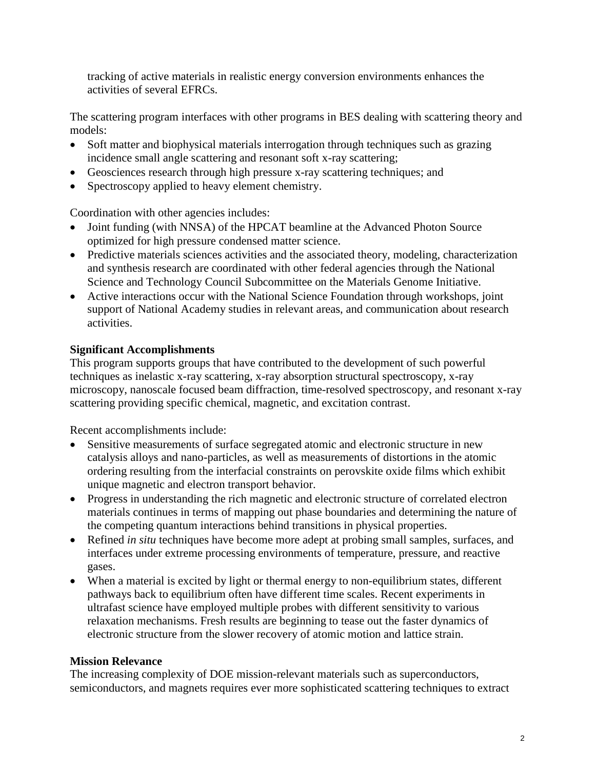tracking of active materials in realistic energy conversion environments enhances the activities of several EFRCs.

The scattering program interfaces with other programs in BES dealing with scattering theory and models:

- Soft matter and biophysical materials interrogation through techniques such as grazing incidence small angle scattering and resonant soft x-ray scattering;
- Geosciences research through high pressure x-ray scattering techniques; and
- Spectroscopy applied to heavy element chemistry.

Coordination with other agencies includes:

- Joint funding (with NNSA) of the HPCAT beamline at the Advanced Photon Source optimized for high pressure condensed matter science.
- Predictive materials sciences activities and the associated theory, modeling, characterization and synthesis research are coordinated with other federal agencies through the National Science and Technology Council Subcommittee on the Materials Genome Initiative.
- Active interactions occur with the National Science Foundation through workshops, joint support of National Academy studies in relevant areas, and communication about research activities.

# **Significant Accomplishments**

This program supports groups that have contributed to the development of such powerful techniques as inelastic x-ray scattering, x-ray absorption structural spectroscopy, x-ray microscopy, nanoscale focused beam diffraction, time-resolved spectroscopy, and resonant x-ray scattering providing specific chemical, magnetic, and excitation contrast.

Recent accomplishments include:

- Sensitive measurements of surface segregated atomic and electronic structure in new catalysis alloys and nano-particles, as well as measurements of distortions in the atomic ordering resulting from the interfacial constraints on perovskite oxide films which exhibit unique magnetic and electron transport behavior.
- Progress in understanding the rich magnetic and electronic structure of correlated electron materials continues in terms of mapping out phase boundaries and determining the nature of the competing quantum interactions behind transitions in physical properties.
- Refined *in situ* techniques have become more adept at probing small samples, surfaces, and interfaces under extreme processing environments of temperature, pressure, and reactive gases.
- When a material is excited by light or thermal energy to non-equilibrium states, different pathways back to equilibrium often have different time scales. Recent experiments in ultrafast science have employed multiple probes with different sensitivity to various relaxation mechanisms. Fresh results are beginning to tease out the faster dynamics of electronic structure from the slower recovery of atomic motion and lattice strain.

# **Mission Relevance**

The increasing complexity of DOE mission-relevant materials such as superconductors, semiconductors, and magnets requires ever more sophisticated scattering techniques to extract